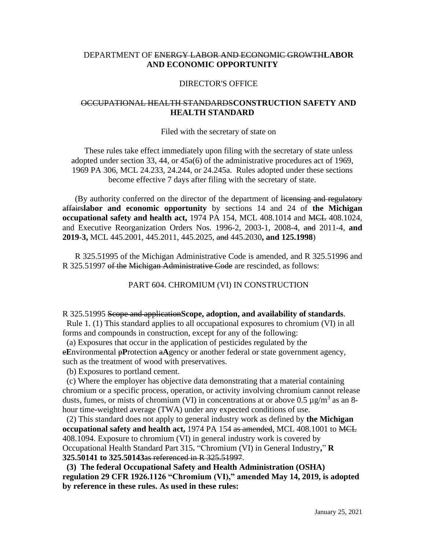# DEPARTMENT OF ENERGY LABOR AND ECONOMIC GROWTH**LABOR AND ECONOMIC OPPORTUNITY**

## DIRECTOR'S OFFICE

## OCCUPATIONAL HEALTH STANDARDS**CONSTRUCTION SAFETY AND HEALTH STANDARD**

#### Filed with the secretary of state on

These rules take effect immediately upon filing with the secretary of state unless adopted under section 33, 44, or 45a(6) of the administrative procedures act of 1969, 1969 PA 306, MCL 24.233, 24.244, or 24.245a. Rules adopted under these sections become effective 7 days after filing with the secretary of state.

(By authority conferred on the director of the department of licensing and regulatory affairs**labor and economic opportunity** by sections 14 and 24 of **the Michigan occupational safety and health act,** 1974 PA 154, MCL 408.1014 and MCL 408.1024, and Executive Reorganization Orders Nos. 1996-2, 2003-1, 2008-4, and 2011-4, **and 2019-3,** MCL 445.2001, 445.2011, 445.2025, and 445.2030**, and 125.1998**)

R 325.51995 of the Michigan Administrative Code is amended, and R 325.51996 and R 325.51997 of the Michigan Administrative Code are rescinded, as follows:

PART 604. CHROMIUM (VI) IN CONSTRUCTION

### R 325.51995 Scope and application**Scope, adoption, and availability of standards**.

 Rule 1. (1) This standard applies to all occupational exposures to chromium (VI) in all forms and compounds in construction, except for any of the following:

 (a) Exposures that occur in the application of pesticides regulated by the e**E**nvironmental p**P**rotection a**A**gency or another federal or state government agency, such as the treatment of wood with preservatives.

(b) Exposures to portland cement.

 (c) Where the employer has objective data demonstrating that a material containing chromium or a specific process, operation, or activity involving chromium cannot release dusts, fumes, or mists of chromium (VI) in concentrations at or above 0.5  $\mu$ g/m<sup>3</sup> as an 8hour time-weighted average (TWA) under any expected conditions of use.

 (2) This standard does not apply to general industry work as defined by **the Michigan occupational safety and health act,** 1974 PA 154 as amended, MCL 408.1001 to MCL 408.1094. Exposure to chromium (VI) in general industry work is covered by Occupational Health Standard Part 315**.** "Chromium (VI) in General Industry**,**" **R 325.50141 to 325.50143**as referenced in R 325.51997.

**(3) The federal Occupational Safety and Health Administration (OSHA) regulation 29 CFR 1926.1126 "Chromium (VI)," amended May 14, 2019, is adopted by reference in these rules. As used in these rules:**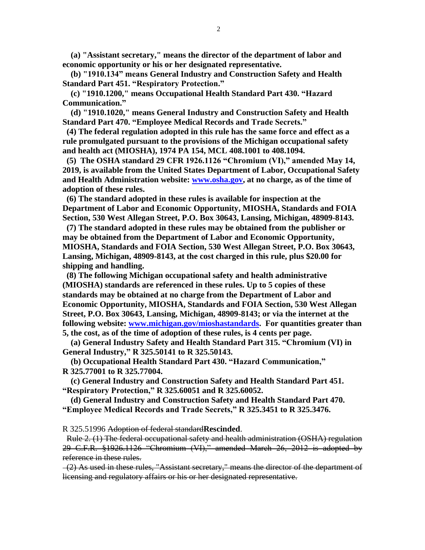**(a) "Assistant secretary," means the director of the department of labor and economic opportunity or his or her designated representative.**

 **(b) "1910.134" means General Industry and Construction Safety and Health Standard Part 451. "Respiratory Protection."** 

 **(c) "1910.1200," means Occupational Health Standard Part 430. "Hazard Communication."** 

 **(d) "1910.1020," means General Industry and Construction Safety and Health Standard Part 470. "Employee Medical Records and Trade Secrets."** 

**(4) The federal regulation adopted in this rule has the same force and effect as a rule promulgated pursuant to the provisions of the Michigan occupational safety and health act (MIOSHA), 1974 PA 154, MCL 408.1001 to 408.1094.**

 **(5) The OSHA standard 29 CFR 1926.1126 "Chromium (VI)," amended May 14, 2019, is available from the United States Department of Labor, Occupational Safety and Health Administration website: [www.osha.gov,](http://www.osha.gov/) at no charge, as of the time of adoption of these rules.**

 **(6) The standard adopted in these rules is available for inspection at the Department of Labor and Economic Opportunity, MIOSHA, Standards and FOIA Section, 530 West Allegan Street, P.O. Box 30643, Lansing, Michigan, 48909-8143.**

 **(7) The standard adopted in these rules may be obtained from the publisher or may be obtained from the Department of Labor and Economic Opportunity, MIOSHA, Standards and FOIA Section, 530 West Allegan Street, P.O. Box 30643, Lansing, Michigan, 48909-8143, at the cost charged in this rule, plus \$20.00 for shipping and handling.**

 **(8) The following Michigan occupational safety and health administrative (MIOSHA) standards are referenced in these rules. Up to 5 copies of these standards may be obtained at no charge from the Department of Labor and Economic Opportunity, MIOSHA, Standards and FOIA Section, 530 West Allegan Street, P.O. Box 30643, Lansing, Michigan, 48909-8143; or via the internet at the following website: [www.michigan.gov/mioshastandards.](http://www.michigan.gov/mioshastandards) For quantities greater than 5, the cost, as of the time of adoption of these rules, is 4 cents per page.** 

**(a) General Industry Safety and Health Standard Part 315. "Chromium (VI) in General Industry," R 325.50141 to R 325.50143.**

 **(b) Occupational Health Standard Part 430. "Hazard Communication," R 325.77001 to R 325.77004.**

 **(c) General Industry and Construction Safety and Health Standard Part 451. "Respiratory Protection," R 325.60051 and R 325.60052.**

 **(d) General Industry and Construction Safety and Health Standard Part 470. "Employee Medical Records and Trade Secrets," R 325.3451 to R 325.3476.**

R 325.51996 Adoption of federal standard**Rescinded**.

 Rule 2. (1) The federal occupational safety and health administration (OSHA) regulation 29 C.F.R. §1926.1126 "Chromium (VI)," amended March 26, 2012 is adopted by reference in these rules.

 (2) As used in these rules, "Assistant secretary," means the director of the department of licensing and regulatory affairs or his or her designated representative.